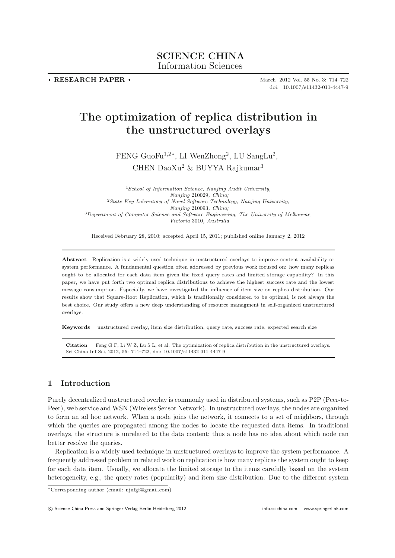**. RESEARCH PAPER .**

March 2012 Vol. 55 No. 3: 714–722 doi: 10.1007/s11432-011-4447-9

# **The optimization of replica distribution in the unstructured overlays**

FENG GuoFu1,2<sup>∗</sup>, LI WenZhong<sup>2</sup>, LU SangLu<sup>2</sup>, CHEN DaoXu<sup>2</sup> & BUYYA Rajkumar<sup>3</sup>

<sup>1</sup>*School of Information Science, Nanjing Audit University, Nanjing* 210029*, China;* <sup>2</sup>*State Key Laboratory of Novel Software Technology, Nanjing University, Nanjing* 210093*, China;* <sup>3</sup>*Department of Computer Science and Software Engineering, The University of Melbourne, Victoria* 3010*, Australia*

Received February 28, 2010; accepted April 15, 2011; published online January 2, 2012

**Abstract** Replication is a widely used technique in unstructured overlays to improve content availability or system performance. A fundamental question often addressed by previous work focused on: how many replicas ought to be allocated for each data item given the fixed query rates and limited storage capability? In this paper, we have put forth two optimal replica distributions to achieve the highest success rate and the lowest message consumption. Especially, we have investigated the influence of item size on replica distribution. Our results show that Square-Root Replication, which is traditionally considered to be optimal, is not always the best choice. Our study offers a new deep understanding of resource managment in self-organized unstructured overlays.

**Keywords** unstructured overlay, item size distribution, query rate, success rate, expected search size

**Citation** Feng G F, Li W Z, Lu S L, et al. The optimization of replica distribution in the unstructured overlays. Sci China Inf Sci, 2012, 55: 714–722, doi: 10.1007/s11432-011-4447-9

## **1 Introduction**

Purely decentralized unstructured overlay is commonly used in distributed systems, such as P2P (Peer-to-Peer), web service and WSN (Wireless Sensor Network). In unstructured overlays, the nodes are organized to form an ad hoc network. When a node joins the network, it connects to a set of neighbors, through which the queries are propagated among the nodes to locate the requested data items. In traditional overlays, the structure is unrelated to the data content; thus a node has no idea about which node can better resolve the queries.

Replication is a widely used technique in unstructured overlays to improve the system performance. A frequently addressed problem in related work on replication is how many replicas the system ought to keep for each data item. Usually, we allocate the limited storage to the items carefully based on the system heterogeneity, e.g., the query rates (popularity) and item size distribution. Due to the different system

<sup>∗</sup>Corresponding author (email: njufgf@gmail.com)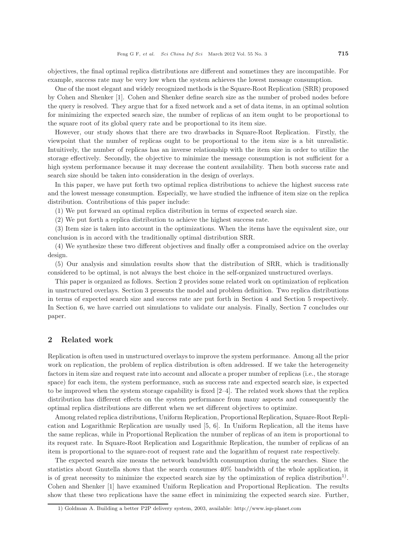objectives, the final optimal replica distributions are different and sometimes they are incompatible. For example, success rate may be very low when the system achieves the lowest message consumption.

One of the most elegant and widely recognized methods is the Square-Root Replication (SRR) proposed by Cohen and Shenker [1]. Cohen and Shenker define search size as the number of probed nodes before the query is resolved. They argue that for a fixed network and a set of data items, in an optimal solution for minimizing the expected search size, the number of replicas of an item ought to be proportional to the square root of its global query rate and be proportional to its item size.

However, our study shows that there are two drawbacks in Square-Root Replication. Firstly, the viewpoint that the number of replicas ought to be proportional to the item size is a bit unrealistic. Intuitively, the number of replicas has an inverse relationship with the item size in order to utilize the storage effectively. Secondly, the objective to minimize the message consumption is not sufficient for a high system performance because it may decrease the content availability. Then both success rate and search size should be taken into consideration in the design of overlays.

In this paper, we have put forth two optimal replica distributions to achieve the highest success rate and the lowest message consumption. Especially, we have studied the influence of item size on the replica distribution. Contributions of this paper include:

(1) We put forward an optimal replica distribution in terms of expected search size.

(2) We put forth a replica distribution to achieve the highest success rate.

(3) Item size is taken into account in the optimizations. When the items have the equivalent size, our conclusion is in accord with the traditionally optimal distribution SRR.

(4) We synthesize these two different objectives and finally offer a compromised advice on the overlay design.

(5) Our analysis and simulation results show that the distribution of SRR, which is traditionally considered to be optimal, is not always the best choice in the self-organized unstructured overlays.

This paper is organized as follows. Section 2 provides some related work on optimization of replication in unstructured overlays. Section 3 presents the model and problem definition. Two replica distributions in terms of expected search size and success rate are put forth in Section 4 and Section 5 respectively. In Section 6, we have carried out simulations to validate our analysis. Finally, Section 7 concludes our paper.

## **2 Related work**

Replication is often used in unstructured overlays to improve the system performance. Among all the prior work on replication, the problem of replica distribution is often addressed. If we take the heterogeneity factors in item size and request rate into account and allocate a proper number of replicas (i.e., the storage space) for each item, the system performance, such as success rate and expected search size, is expected to be improved when the system storage capability is fixed [2–4]. The related work shows that the replica distribution has different effects on the system performance from many aspects and consequently the optimal replica distributions are different when we set different objectives to optimize.

Among related replica distributions, Uniform Replication, Proportional Replication, Square-Root Replication and Logarithmic Replication are usually used [5, 6]. In Uniform Replication, all the items have the same replicas, while in Proportional Replication the number of replicas of an item is proportional to its request rate. In Square-Root Replication and Logarithmic Replication, the number of replicas of an item is proportional to the square-root of request rate and the logarithm of request rate respectively.

The expected search size means the network bandwidth consumption during the searches. Since the statistics about Gnutella shows that the search consumes 40% bandwidth of the whole application, it is of great necessity to minimize the expected search size by the optimization of replica distribution<sup>1)</sup>. Cohen and Shenker [1] have examined Uniform Replication and Proportional Replication. The results show that these two replications have the same effect in minimizing the expected search size. Further,

<sup>1)</sup> Goldman A. Building a better P2P delivery system, 2003, available: http://www.isp-planet.com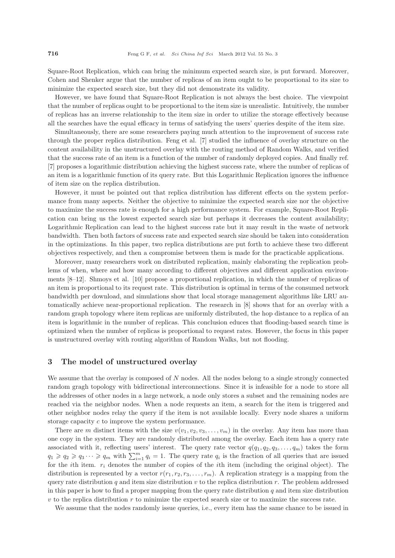Square-Root Replication, which can bring the minimum expected search size, is put forward. Moreover, Cohen and Shenker argue that the number of replicas of an item ought to be proportional to its size to minimize the expected search size, but they did not demonstrate its validity.

However, we have found that Square-Root Replication is not always the best choice. The viewpoint that the number of replicas ought to be proportional to the item size is unrealistic. Intuitively, the number of replicas has an inverse relationship to the item size in order to utilize the storage effectively because all the searches have the equal efficacy in terms of satisfying the users' queries despite of the item size.

Simultaneously, there are some researchers paying much attention to the improvement of success rate through the proper replica distribution. Feng et al. [7] studied the influence of overlay structure on the content availability in the unstructured overlay with the routing method of Random Walks, and verified that the success rate of an item is a function of the number of randomly deployed copies. And finally ref. [7] proposes a logarithmic distribution achieving the highest success rate, where the number of replicas of an item is a logarithmic function of its query rate. But this Logarithmic Replication ignores the influence of item size on the replica distribution.

However, it must be pointed out that replica distribution has different effects on the system performance from many aspects. Neither the objective to minimize the expected search size nor the objective to maximize the success rate is enough for a high performance system. For example, Square-Root Replication can bring us the lowest expected search size but perhaps it decreases the content availability; Logarithmic Replication can lead to the highest success rate but it may result in the waste of network bandwidth. Then both factors of success rate and expected search size should be taken into consideration in the optimizations. In this paper, two replica distributions are put forth to achieve these two different objectives respectively, and then a compromise between them is made for the practicable applications.

Moreover, many researchers work on distributed replication, mainly elaborating the replication problems of when, where and how many according to different objectives and different application environments [8–12]. Shmoys et al. [10] propose a proportional replication, in which the number of replicas of an item is proportional to its request rate. This distribution is optimal in terms of the consumed network bandwidth per download, and simulations show that local storage management algorithms like LRU automatically achieve near-proportional replication. The research in [8] shows that for an overlay with a random graph topology where item replicas are uniformly distributed, the hop distance to a replica of an item is logarithmic in the number of replicas. This conclusion educes that flooding-based search time is optimized when the number of replicas is proportional to request rates. However, the focus in this paper is unstructured overlay with routing algorithm of Random Walks, but not flooding.

## **3 The model of unstructured overlay**

We assume that the overlay is composed of N nodes. All the nodes belong to a single strongly connected random gragh topology with bidirectional interconnections. Since it is infeasible for a node to store all the addresses of other nodes in a large network, a node only stores a subset and the remaining nodes are reached via the neighbor nodes. When a node requests an item, a search for the item is triggered and other neighbor nodes relay the query if the item is not available locally. Every node shares a uniform storage capacity c to improve the system performance.

There are m distinct items with the size  $v(v_1, v_2, v_3, \ldots, v_m)$  in the overlay. Any item has more than one copy in the system. They are randomly distributed among the overlay. Each item has a query rate associated with it, reflecting users' interest. The query rate vector  $q(q_1, q_2, q_3, \ldots, q_m)$  takes the form  $q_1 \geq q_2 \geq q_3 \cdots \geq q_m$  with  $\sum_{i=1}^m q_i = 1$ . The query rate  $q_i$  is the fraction of all queries that are issued for the *i*th item.  $r_i$  denotes the number of copies of the *i*th item (including the original object). The distribution is represented by a vector  $r(r_1, r_2, r_3, \ldots, r_m)$ . A replication strategy is a mapping from the query rate distribution q and item size distribution  $v$  to the replica distribution  $r$ . The problem addressed in this paper is how to find a proper mapping from the query rate distribution  $q$  and item size distribution  $v$  to the replica distribution  $r$  to minimize the expected search size or to maximize the success rate.

We assume that the nodes randomly issue queries, i.e., every item has the same chance to be issued in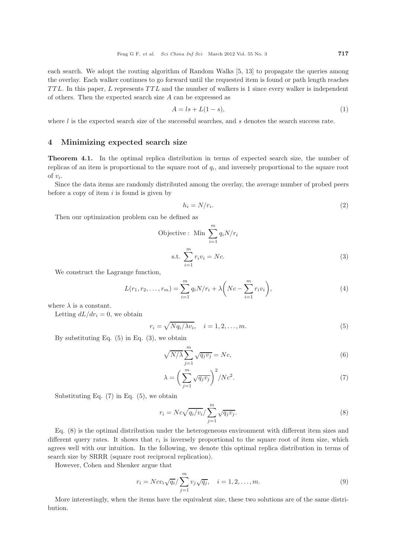each search. We adopt the routing algorithm of Random Walks [5, 13] to propagate the queries among the overlay. Each walker continues to go forward until the requested item is found or path length reaches TTL. In this paper, L represents TTL and the number of walkers is 1 since every walker is independent of others. Then the expected search size A can be expressed as

$$
A = ls + L(1 - s),\tag{1}
$$

where  $l$  is the expected search size of the successful searches, and  $s$  denotes the search success rate.

## **4 Minimizing expected search size**

**Theorem 4.1.** In the optimal replica distribution in terms of expected search size, the number of replicas of an item is proportional to the square root of  $q_i$ , and inversely proportional to the square root of  $v_i$ .

Since the data items are randomly distributed among the overlay, the average number of probed peers before a copy of item  $i$  is found is given by

$$
h_i = N/r_i. \tag{2}
$$

Then our optimization problem can be defined as

$$
\begin{aligned} \text{Objective:} \quad & \text{Min} \sum_{i=1}^{m} q_i N / r_i \\ \text{s.t.} \sum_{i=1}^{m} r_i v_i = Nc. \end{aligned} \tag{3}
$$

We construct the Lagrange function,

$$
L(r_1, r_2, \dots, r_m) = \sum_{i=1}^{m} q_i N/r_i + \lambda \left( Nc - \sum_{i=1}^{m} r_i v_i \right),
$$
\n(4)

where  $\lambda$  is a constant.

Letting  $dL/dr_i = 0$ , we obtain

$$
r_i = \sqrt{Nq_i/\lambda v_i}, \quad i = 1, 2, \dots, m. \tag{5}
$$

By substituting Eq.  $(5)$  in Eq.  $(3)$ , we obtain

$$
\sqrt{N/\lambda} \sum_{j=1}^{m} \sqrt{q_j v_j} = Nc,\tag{6}
$$

$$
\lambda = \left(\sum_{j=1}^{m} \sqrt{q_j v_j}\right)^2 / Nc^2.
$$
\n(7)

Substituting Eq.  $(7)$  in Eq.  $(5)$ , we obtain

$$
r_i = Nc\sqrt{q_i/v_i} / \sum_{j=1}^{m} \sqrt{q_j v_j}.
$$
\n(8)

Eq. (8) is the optimal distribution under the heterogeneous environment with different item sizes and different query rates. It shows that  $r_i$  is inversely proportional to the square root of item size, which agrees well with our intuition. In the following, we denote this optimal replica distribution in terms of search size by SRRR (square root reciprocal replication).

However, Cohen and Shenker argue that

$$
r_i = Ncv_i\sqrt{q_i}/\sum_{j=1}^{m} v_j\sqrt{q_j}, \quad i = 1, 2, ..., m.
$$
 (9)

More interestingly, when the items have the equivalent size, these two solutions are of the same distribution.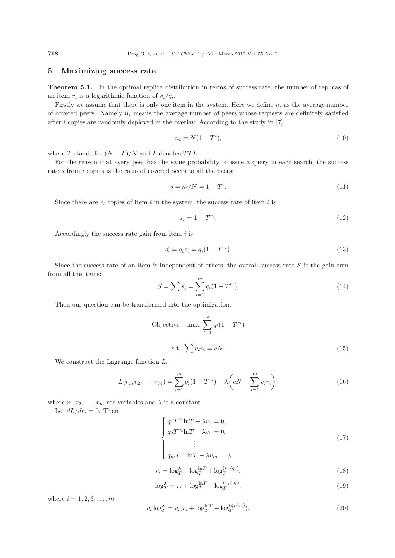## **5 Maximizing success rate**

**Theorem 5.1.** In the optimal replica distribution in terms of success rate, the number of replicas of an item  $r_i$  is a logarithmic function of  $v_i/q_i$ .

Firstly we assume that there is only one item in the system. Here we define  $n_i$  as the average number of covered peers. Namely  $n_i$  means the average number of peers whose requests are definitely satisfied after i copies are randomly deployed in the overlay. According to the study in  $[7]$ ,

$$
n_i = N(1 - T^i),\tag{10}
$$

where T stands for  $(N - L)/N$  and L denotes TTL.

For the reason that every peer has the same probability to issue a query in each search, the success rate s from i copies is the ratio of covered peers to all the peers:

$$
s = n_i/N = 1 - T^i.
$$
 (11)

Since there are  $r_i$  copies of item i in the system, the success rate of item i is

$$
s_i = 1 - T^{r_i}.\tag{12}
$$

Accordingly the success rate gain from item  $i$  is

$$
s_i' = q_i s_i = q_i (1 - T^{r_i}).
$$
\n(13)

Since the success rate of an item is independent of others, the overall success rate  $S$  is the gain sum from all the items:

$$
S = \sum s_i' = \sum_{i=1}^{m} q_i (1 - T^{r_i}).
$$
\n(14)

Then our question can be transformed into the optimization:

$$
\begin{aligned} \text{Objective: } \max \sum_{i=1}^{m} q_i (1 - T^{r_i}) \\ \text{s.t. } \sum v_i r_i = cN. \end{aligned} \tag{15}
$$

We construct the Lagrange function  $L$ ,

$$
L(r_1, r_2, \dots, r_m) = \sum_{i=1}^{m} q_i (1 - T^{r_i}) + \lambda \left( cN - \sum_{i=1}^{m} v_i r_i \right),
$$
\n(16)

where  $r_1, r_2, \ldots, r_m$  are variables and  $\lambda$  is a constant.

Let  $dL/dr_i = 0$ . Then

$$
\begin{cases}\nq_1 T^{r_1} \ln T - \lambda v_1 = 0, \\
q_2 T^{r_2} \ln T - \lambda v_2 = 0, \\
\vdots \\
q_m T^{r_m} \ln T - \lambda v_m = 0,\n\end{cases}
$$
\n(17)

$$
\left(\frac{q_m}{m} - \lambda v_m - 0\right)
$$
\n
$$
\lambda = \frac{\lambda}{m} \left[\frac{\ln T + 1}{v_i / q_i}\right]
$$
\n(10)

$$
r_i = \log_T^{\lambda} - \log_T^{\ln T} + \log_T^{(v_i/q_i)},
$$
\n
$$
\log_T^{\lambda} - n + \log_T^{\ln T} - \log_T^{(v_i/q_i)}.
$$
\n(18)

$$
\log_T^{\lambda} = r_i + \log_T^{\ln T} - \log_T^{(v_i/q_i)},\tag{19}
$$

where  $i = 1, 2, 3, ..., m$ .

$$
v_i \log_T^{\lambda} = v_i (r_i + \log_T^{\ln T} - \log_T^{(q_i/v_i)}).
$$
\n(20)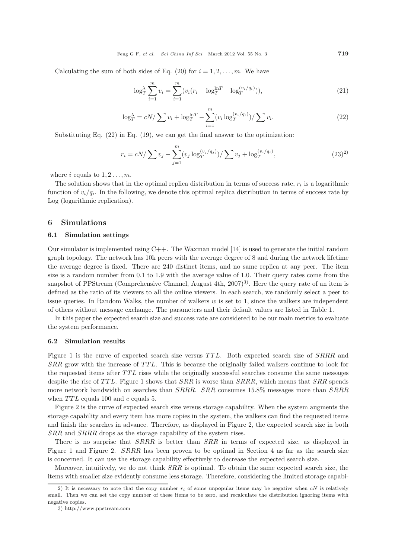Calculating the sum of both sides of Eq. (20) for  $i = 1, 2, \ldots, m$ . We have

$$
\log_T^{\lambda} \sum_{i=1}^m v_i = \sum_{i=1}^m (v_i (r_i + \log_T^{\ln T} - \log_T^{(v_i/q_i)})),
$$
\n(21)

$$
\log_T^{\lambda} = cN / \sum v_i + \log_T^{\ln T} - \sum_{i=1}^{m} (v_i \log_T^{(v_i/q_i)}) / \sum v_i.
$$
 (22)

Substituting Eq. (22) in Eq. (19), we can get the final answer to the optimization:

$$
r_i = cN/\sum v_j - \sum_{j=1}^{m} (v_j \log_T^{(v_j/q_j)})/\sum v_j + \log_T^{(v_i/q_i)}, \qquad (23)^2)
$$

where i equals to  $1, 2, \ldots, m$ .

The solution shows that in the optimal replica distribution in terms of success rate,  $r_i$  is a logarithmic function of  $v_i/q_i$ . In the following, we denote this optimal replica distribution in terms of success rate by Log (logarithmic replication).

## **6 Simulations**

#### **6.1 Simulation settings**

Our simulator is implemented using  $C++$ . The Waxman model [14] is used to generate the initial random graph topology. The network has 10k peers with the average degree of 8 and during the network lifetime the average degree is fixed. There are 240 distinct items, and no same replica at any peer. The item size is a random number from 0.1 to 1.9 with the average value of 1.0. Their query rates come from the snapshot of PPStream (Comprehensive Channel, August 4th,  $2007)^3$ ). Here the query rate of an item is defined as the ratio of its viewers to all the online viewers. In each search, we randomly select a peer to issue queries. In Random Walks, the number of walkers  $w$  is set to 1, since the walkers are independent of others without message exchange. The parameters and their default values are listed in Table 1.

In this paper the expected search size and success rate are considered to be our main metrics to evaluate the system performance.

## **6.2 Simulation results**

Figure 1 is the curve of expected search size versus TTL. Both expected search size of SRRR and SRR grow with the increase of TTL. This is because the originally failed walkers continue to look for the requested items after TTL rises while the originally successful searches consume the same messages despite the rise of TTL. Figure 1 shows that  $SRR$  is worse than  $SRR$ , which means that  $SRR$  spends more network bandwidth on searches than *SRRR. SRR* consumes 15.8% messages more than *SRRR* when  $TTL$  equals 100 and  $c$  equals 5.

Figure 2 is the curve of expected search size versus storage capability. When the system augments the storage capability and every item has more copies in the system, the walkers can find the requested items and finish the searches in advance. Therefore, as displayed in Figure 2, the expected search size in both SRR and SRRR drops as the storage capability of the system rises.

There is no surprise that SRRR is better than SRR in terms of expected size, as displayed in Figure 1 and Figure 2. SRRR has been proven to be optimal in Section 4 as far as the search size is concerned. It can use the storage capability effectively to decrease the expected search size.

Moreover, intuitively, we do not think  $SRR$  is optimal. To obtain the same expected search size, the items with smaller size evidently consume less storage. Therefore, considering the limited storage capabi-

<sup>2)</sup> It is necessary to note that the copy number  $r_i$  of some unpopular items may be negative when  $cN$  is relatively small. Then we can set the copy number of these items to be zero, and recalculate the distribution ignoring items with negative copies.

<sup>3)</sup> http://www.ppstream.com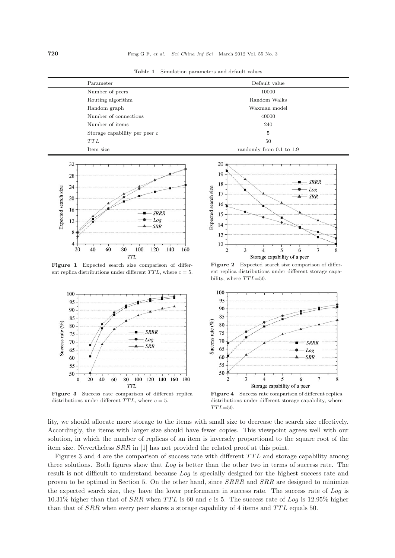| Parameter                       | Default value            |
|---------------------------------|--------------------------|
| Number of peers                 | 10000                    |
| Routing algorithm               | Random Walks             |
| Random graph                    | Waxman model             |
| Number of connections           | 40000                    |
| Number of items                 | 240                      |
| Storage capability per peer $c$ | 5                        |
| TTL                             | 50                       |
| Item size                       | randomly from 0.1 to 1.9 |





**Figure 1** Expected search size comparison of different replica distributions under different  $TTL$ , where  $c = 5$ .



**Figure 3** Success rate comparison of different replica distributions under different  $TTL$ , where  $c = 5$ .



**Figure 2** Expected search size comparison of different replica distributions under different storage capability, where *TTL*=50.



**Figure 4** Success rate comparison of different replica distributions under different storage capability, where *TTL*=50.

lity, we should allocate more storage to the items with small size to decrease the search size effectively. Accordingly, the items with larger size should have fewer copies. This viewpoint agrees well with our solution, in which the number of replicas of an item is inversely proportional to the square root of the item size. Nevertheless SRR in [1] has not provided the related proof at this point.

Figures 3 and 4 are the comparison of success rate with different TTL and storage capability among three solutions. Both figures show that Log is better than the other two in terms of success rate. The result is not difficult to understand because Log is specially designed for the highest success rate and proven to be optimal in Section 5. On the other hand, since  $SRRR$  and  $SRR$  are designed to minimize the expected search size, they have the lower performance in success rate. The success rate of Log is 10.31% higher than that of  $SRR$  when TTL is 60 and c is 5. The success rate of Log is 12.95% higher than that of SRR when every peer shares a storage capability of 4 items and TTL equals 50.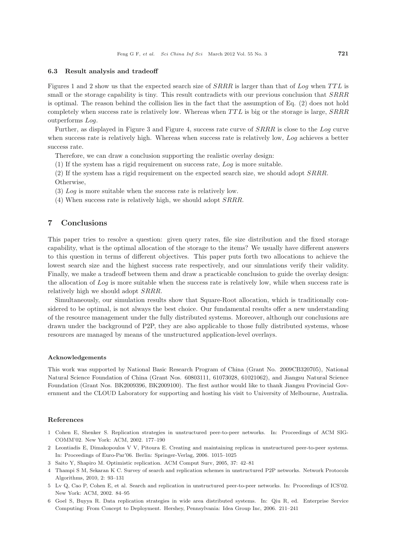#### **6.3 Result analysis and tradeoff**

Figures 1 and 2 show us that the expected search size of SRRR is larger than that of Log when TTL is small or the storage capability is tiny. This result contradicts with our previous conclusion that  $SRR$ is optimal. The reason behind the collision lies in the fact that the assumption of Eq. (2) does not hold completely when success rate is relatively low. Whereas when TTL is big or the storage is large, SRRR outperforms Log.

Further, as displayed in Figure 3 and Figure 4, success rate curve of SRRR is close to the Log curve when success rate is relatively high. Whereas when success rate is relatively low, Log achieves a better success rate.

Therefore, we can draw a conclusion supporting the realistic overlay design:

(1) If the system has a rigid requirement on success rate, Log is more suitable.

(2) If the system has a rigid requirement on the expected search size, we should adopt SRRR. Otherwise,

(3) Log is more suitable when the success rate is relatively low.

(4) When success rate is relatively high, we should adopt SRRR.

## **7 Conclusions**

This paper tries to resolve a question: given query rates, file size distribution and the fixed storage capability, what is the optimal allocation of the storage to the items? We usually have different answers to this question in terms of different objectives. This paper puts forth two allocations to achieve the lowest search size and the highest success rate respectively, and our simulations verify their validity. Finally, we make a tradeoff between them and draw a practicable conclusion to guide the overlay design: the allocation of Log is more suitable when the success rate is relatively low, while when success rate is relatively high we should adopt SRRR.

Simultaneously, our simulation results show that Square-Root allocation, which is traditionally considered to be optimal, is not always the best choice. Our fundamental results offer a new understanding of the resource management under the fully distributed systems. Moreover, although our conclusions are drawn under the background of P2P, they are also applicable to those fully distributed systems, whose resources are managed by means of the unstructured application-level overlays.

#### **Acknowledgements**

This work was supported by National Basic Research Program of China (Grant No. 2009CB320705), National Natural Science Foundation of China (Grant Nos. 60803111, 61073028, 61021062), and Jiangsu Natural Science Foundation (Grant Nos. BK2009396, BK2009100). The first author would like to thank Jiangsu Provincial Government and the CLOUD Laboratory for supporting and hosting his visit to University of Melbourne, Australia.

#### **References**

- 1 Cohen E, Shenker S. Replication strategies in unstructured peer-to-peer networks. In: Proceedings of ACM SIG-COMM'02. New York: ACM, 2002. 177–190
- 2 Leontiadis E, Dimakopoulos V V, Pitoura E. Creating and maintaining replicas in unstructured peer-to-peer systems. In: Proceedings of Euro-Par'06. Berlin: Springer-Verlag, 2006. 1015–1025
- 3 Saito Y, Shapiro M. Optimistic replication. ACM Comput Surv, 2005, 37: 42–81
- 4 Thampi S M, Sekaran K C. Survey of search and replication schemes in unstructured P2P networks. Network Protocols Algorithms, 2010, 2: 93–131
- 5 Lv Q, Cao P, Cohen E, et al. Search and replication in unstructured peer-to-peer networks. In: Proceedings of ICS'02. New York: ACM, 2002. 84–95
- 6 Goel S, Buyya R. Data replication strategies in wide area distributed systems. In: Qiu R, ed. Enterprise Service Computing: From Concept to Deployment. Hershey, Pennsylvania: Idea Group Inc, 2006. 211–241